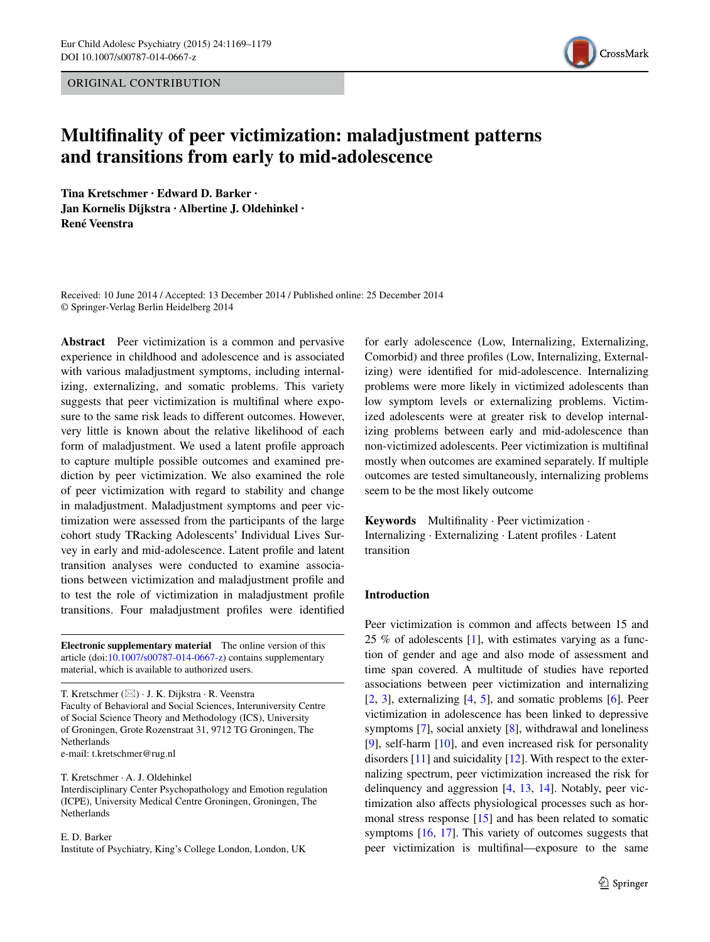ORIGINAL CONTRIBUTION



# **Multifinality of peer victimization: maladjustment patterns and transitions from early to mid‑adolescence**

**Tina Kretschmer · Edward D. Barker · Jan Kornelis Dijkstra · Albertine J. Oldehinkel · René Veenstra**

Received: 10 June 2014 / Accepted: 13 December 2014 / Published online: 25 December 2014 © Springer-Verlag Berlin Heidelberg 2014

**Abstract** Peer victimization is a common and pervasive experience in childhood and adolescence and is associated with various maladjustment symptoms, including internalizing, externalizing, and somatic problems. This variety suggests that peer victimization is multifinal where exposure to the same risk leads to different outcomes. However, very little is known about the relative likelihood of each form of maladjustment. We used a latent profile approach to capture multiple possible outcomes and examined prediction by peer victimization. We also examined the role of peer victimization with regard to stability and change in maladjustment. Maladjustment symptoms and peer victimization were assessed from the participants of the large cohort study TRacking Adolescents' Individual Lives Survey in early and mid-adolescence. Latent profile and latent transition analyses were conducted to examine associations between victimization and maladjustment profile and to test the role of victimization in maladjustment profile transitions. Four maladjustment profiles were identified

**Electronic supplementary material** The online version of this article (doi[:10.1007/s00787-014-0667-z](http://dx.doi.org/10.1007/s00787-014-0667-z)) contains supplementary material, which is available to authorized users.

T. Kretschmer  $(\boxtimes)$  · J. K. Dijkstra · R. Veenstra Faculty of Behavioral and Social Sciences, Interuniversity Centre of Social Science Theory and Methodology (ICS), University of Groningen, Grote Rozenstraat 31, 9712 TG Groningen, The Netherlands e-mail: t.kretschmer@rug.nl

T. Kretschmer · A. J. Oldehinkel

Interdisciplinary Center Psychopathology and Emotion regulation (ICPE), University Medical Centre Groningen, Groningen, The **Netherlands** 

E. D. Barker

Institute of Psychiatry, King's College London, London, UK

for early adolescence (Low, Internalizing, Externalizing, Comorbid) and three profiles (Low, Internalizing, Externalizing) were identified for mid-adolescence. Internalizing problems were more likely in victimized adolescents than low symptom levels or externalizing problems. Victimized adolescents were at greater risk to develop internalizing problems between early and mid-adolescence than non-victimized adolescents. Peer victimization is multifinal mostly when outcomes are examined separately. If multiple outcomes are tested simultaneously, internalizing problems seem to be the most likely outcome

**Keywords** Multifinality · Peer victimization · Internalizing · Externalizing · Latent profiles · Latent transition

#### **Introduction**

Peer victimization is common and affects between 15 and 25 % of adolescents [\[1](#page-8-0)], with estimates varying as a function of gender and age and also mode of assessment and time span covered. A multitude of studies have reported associations between peer victimization and internalizing  $[2, 3]$  $[2, 3]$  $[2, 3]$  $[2, 3]$ , externalizing  $[4, 5]$  $[4, 5]$  $[4, 5]$  $[4, 5]$ , and somatic problems  $[6]$  $[6]$ . Peer victimization in adolescence has been linked to depressive symptoms [[7\]](#page-8-6), social anxiety [\[8](#page-9-0)], withdrawal and loneliness [\[9](#page-9-1)], self-harm [\[10\]](#page-9-2), and even increased risk for personality disorders [\[11\]](#page-9-3) and suicidality [\[12\]](#page-9-4). With respect to the externalizing spectrum, peer victimization increased the risk for delinquency and aggression [[4,](#page-8-3) [13,](#page-9-5) [14\]](#page-9-6). Notably, peer victimization also affects physiological processes such as hormonal stress response [\[15](#page-9-7)] and has been related to somatic symptoms [[16](#page-9-8), [17](#page-9-9)]. This variety of outcomes suggests that peer victimization is multifinal—exposure to the same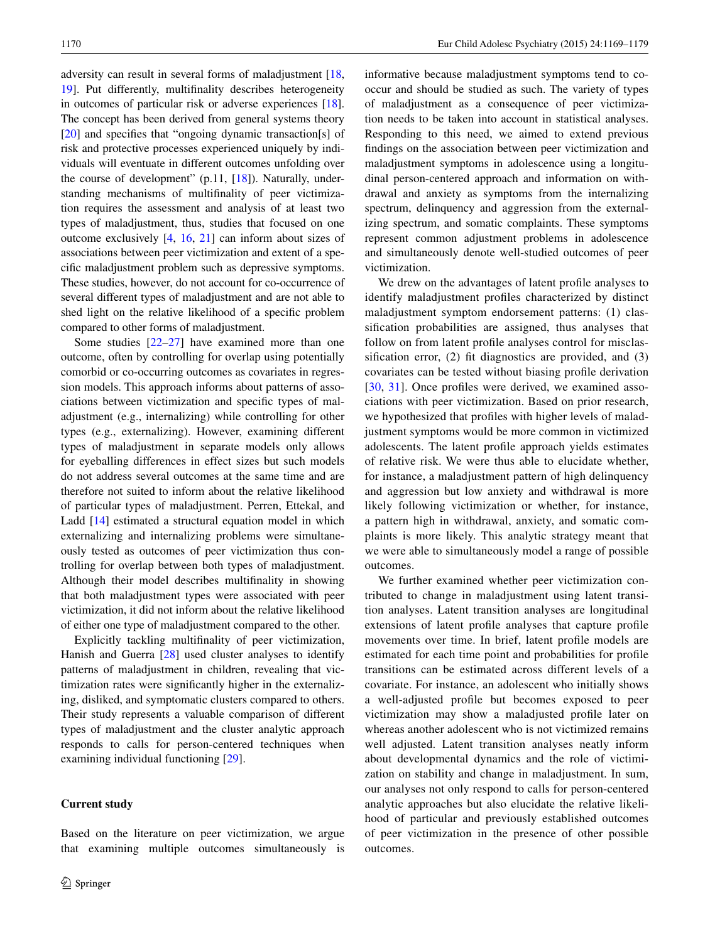adversity can result in several forms of maladjustment [[18,](#page-9-10) [19\]](#page-9-11). Put differently, multifinality describes heterogeneity in outcomes of particular risk or adverse experiences [\[18](#page-9-10)]. The concept has been derived from general systems theory [\[20](#page-9-12)] and specifies that "ongoing dynamic transaction[s] of risk and protective processes experienced uniquely by individuals will eventuate in different outcomes unfolding over the course of development" (p.11, [[18\]](#page-9-10)). Naturally, understanding mechanisms of multifinality of peer victimization requires the assessment and analysis of at least two types of maladjustment, thus, studies that focused on one outcome exclusively [\[4](#page-8-3), [16](#page-9-8), [21](#page-9-13)] can inform about sizes of associations between peer victimization and extent of a specific maladjustment problem such as depressive symptoms. These studies, however, do not account for co-occurrence of several different types of maladjustment and are not able to shed light on the relative likelihood of a specific problem compared to other forms of maladjustment.

Some studies [\[22](#page-9-14)[–27](#page-9-15)] have examined more than one outcome, often by controlling for overlap using potentially comorbid or co-occurring outcomes as covariates in regression models. This approach informs about patterns of associations between victimization and specific types of maladjustment (e.g., internalizing) while controlling for other types (e.g., externalizing). However, examining different types of maladjustment in separate models only allows for eyeballing differences in effect sizes but such models do not address several outcomes at the same time and are therefore not suited to inform about the relative likelihood of particular types of maladjustment. Perren, Ettekal, and Ladd [\[14](#page-9-6)] estimated a structural equation model in which externalizing and internalizing problems were simultaneously tested as outcomes of peer victimization thus controlling for overlap between both types of maladjustment. Although their model describes multifinality in showing that both maladjustment types were associated with peer victimization, it did not inform about the relative likelihood of either one type of maladjustment compared to the other.

Explicitly tackling multifinality of peer victimization, Hanish and Guerra [\[28](#page-9-16)] used cluster analyses to identify patterns of maladjustment in children, revealing that victimization rates were significantly higher in the externalizing, disliked, and symptomatic clusters compared to others. Their study represents a valuable comparison of different types of maladjustment and the cluster analytic approach responds to calls for person-centered techniques when examining individual functioning [\[29](#page-9-17)].

#### **Current study**

Based on the literature on peer victimization, we argue that examining multiple outcomes simultaneously is informative because maladjustment symptoms tend to cooccur and should be studied as such. The variety of types of maladjustment as a consequence of peer victimization needs to be taken into account in statistical analyses. Responding to this need, we aimed to extend previous findings on the association between peer victimization and maladjustment symptoms in adolescence using a longitudinal person-centered approach and information on withdrawal and anxiety as symptoms from the internalizing spectrum, delinquency and aggression from the externalizing spectrum, and somatic complaints. These symptoms represent common adjustment problems in adolescence and simultaneously denote well-studied outcomes of peer victimization.

We drew on the advantages of latent profile analyses to identify maladjustment profiles characterized by distinct maladjustment symptom endorsement patterns: (1) classification probabilities are assigned, thus analyses that follow on from latent profile analyses control for misclassification error, (2) fit diagnostics are provided, and (3) covariates can be tested without biasing profile derivation [[30,](#page-9-18) [31](#page-9-19)]. Once profiles were derived, we examined associations with peer victimization. Based on prior research, we hypothesized that profiles with higher levels of maladjustment symptoms would be more common in victimized adolescents. The latent profile approach yields estimates of relative risk. We were thus able to elucidate whether, for instance, a maladjustment pattern of high delinquency and aggression but low anxiety and withdrawal is more likely following victimization or whether, for instance, a pattern high in withdrawal, anxiety, and somatic complaints is more likely. This analytic strategy meant that we were able to simultaneously model a range of possible outcomes.

We further examined whether peer victimization contributed to change in maladjustment using latent transition analyses. Latent transition analyses are longitudinal extensions of latent profile analyses that capture profile movements over time. In brief, latent profile models are estimated for each time point and probabilities for profile transitions can be estimated across different levels of a covariate. For instance, an adolescent who initially shows a well-adjusted profile but becomes exposed to peer victimization may show a maladjusted profile later on whereas another adolescent who is not victimized remains well adjusted. Latent transition analyses neatly inform about developmental dynamics and the role of victimization on stability and change in maladjustment. In sum, our analyses not only respond to calls for person-centered analytic approaches but also elucidate the relative likelihood of particular and previously established outcomes of peer victimization in the presence of other possible outcomes.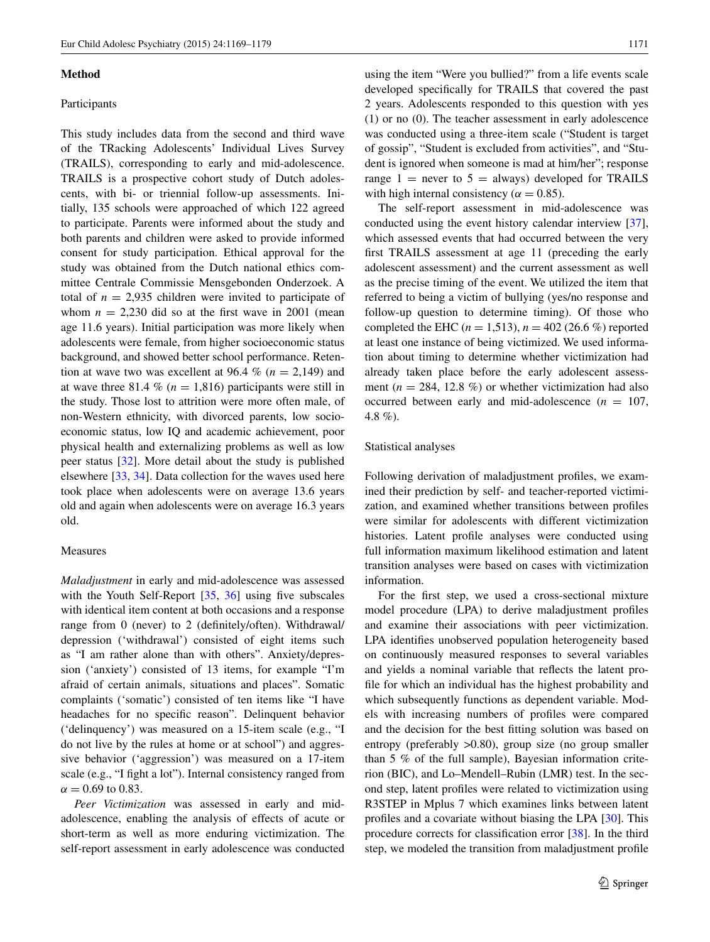#### **Method**

## Participants

This study includes data from the second and third wave of the TRacking Adolescents' Individual Lives Survey (TRAILS), corresponding to early and mid-adolescence. TRAILS is a prospective cohort study of Dutch adolescents, with bi- or triennial follow-up assessments. Initially, 135 schools were approached of which 122 agreed to participate. Parents were informed about the study and both parents and children were asked to provide informed consent for study participation. Ethical approval for the study was obtained from the Dutch national ethics committee Centrale Commissie Mensgebonden Onderzoek. A total of  $n = 2.935$  children were invited to participate of whom  $n = 2,230$  did so at the first wave in 2001 (mean age 11.6 years). Initial participation was more likely when adolescents were female, from higher socioeconomic status background, and showed better school performance. Retention at wave two was excellent at 96.4  $\%$  ( $n = 2,149$ ) and at wave three 81.4 % ( $n = 1,816$ ) participants were still in the study. Those lost to attrition were more often male, of non-Western ethnicity, with divorced parents, low socioeconomic status, low IQ and academic achievement, poor physical health and externalizing problems as well as low peer status [[32\]](#page-9-20). More detail about the study is published elsewhere [[33,](#page-9-21) [34](#page-9-22)]. Data collection for the waves used here took place when adolescents were on average 13.6 years old and again when adolescents were on average 16.3 years old.

### Measures

*Maladjustment* in early and mid-adolescence was assessed with the Youth Self-Report [[35,](#page-9-23) [36](#page-9-24)] using five subscales with identical item content at both occasions and a response range from 0 (never) to 2 (definitely/often). Withdrawal/ depression ('withdrawal') consisted of eight items such as "I am rather alone than with others". Anxiety/depression ('anxiety') consisted of 13 items, for example "I'm afraid of certain animals, situations and places". Somatic complaints ('somatic') consisted of ten items like "I have headaches for no specific reason". Delinquent behavior ('delinquency') was measured on a 15-item scale (e.g., "I do not live by the rules at home or at school") and aggressive behavior ('aggression') was measured on a 17-item scale (e.g., "I fight a lot"). Internal consistency ranged from  $\alpha = 0.69$  to 0.83.

*Peer Victimization* was assessed in early and midadolescence, enabling the analysis of effects of acute or short-term as well as more enduring victimization. The self-report assessment in early adolescence was conducted using the item "Were you bullied?" from a life events scale developed specifically for TRAILS that covered the past 2 years. Adolescents responded to this question with yes (1) or no (0). The teacher assessment in early adolescence was conducted using a three-item scale ("Student is target of gossip", "Student is excluded from activities", and "Student is ignored when someone is mad at him/her"; response range  $1 =$  never to  $5 =$  always) developed for TRAILS with high internal consistency ( $\alpha = 0.85$ ).

The self-report assessment in mid-adolescence was conducted using the event history calendar interview [\[37](#page-9-25)], which assessed events that had occurred between the very first TRAILS assessment at age 11 (preceding the early adolescent assessment) and the current assessment as well as the precise timing of the event. We utilized the item that referred to being a victim of bullying (yes/no response and follow-up question to determine timing). Of those who completed the EHC ( $n = 1,513$ ),  $n = 402$  (26.6 %) reported at least one instance of being victimized. We used information about timing to determine whether victimization had already taken place before the early adolescent assessment ( $n = 284$ , 12.8 %) or whether victimization had also occurred between early and mid-adolescence  $(n = 107)$ , 4.8 %).

### Statistical analyses

Following derivation of maladjustment profiles, we examined their prediction by self- and teacher-reported victimization, and examined whether transitions between profiles were similar for adolescents with different victimization histories. Latent profile analyses were conducted using full information maximum likelihood estimation and latent transition analyses were based on cases with victimization information.

For the first step, we used a cross-sectional mixture model procedure (LPA) to derive maladjustment profiles and examine their associations with peer victimization. LPA identifies unobserved population heterogeneity based on continuously measured responses to several variables and yields a nominal variable that reflects the latent profile for which an individual has the highest probability and which subsequently functions as dependent variable. Models with increasing numbers of profiles were compared and the decision for the best fitting solution was based on entropy (preferably >0.80), group size (no group smaller than 5 % of the full sample), Bayesian information criterion (BIC), and Lo–Mendell–Rubin (LMR) test. In the second step, latent profiles were related to victimization using R3STEP in Mplus 7 which examines links between latent profiles and a covariate without biasing the LPA [[30\]](#page-9-18). This procedure corrects for classification error [[38\]](#page-9-26). In the third step, we modeled the transition from maladjustment profile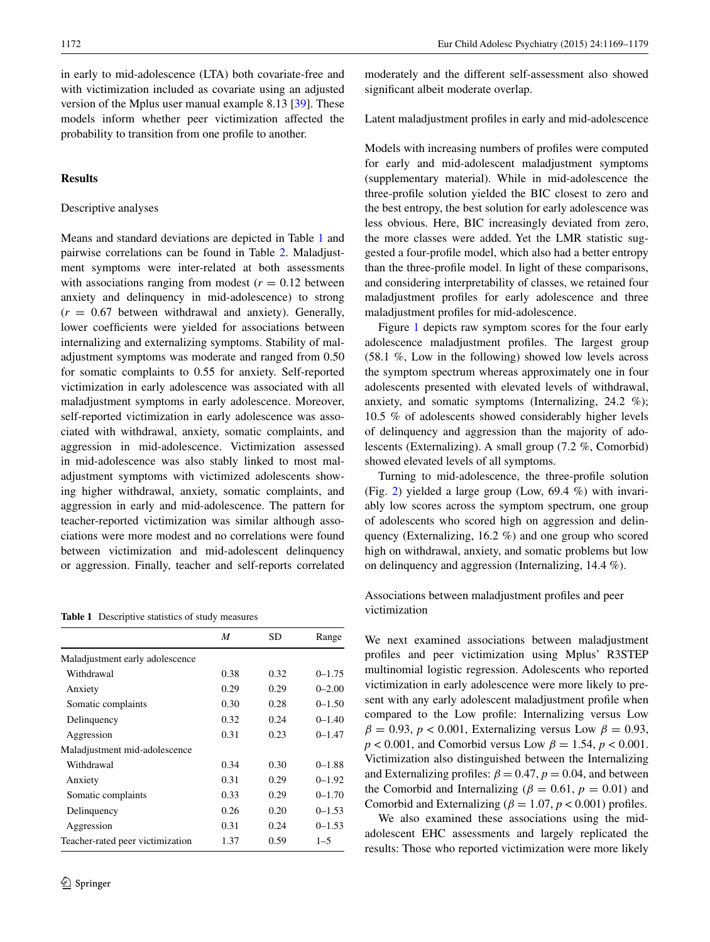in early to mid-adolescence (LTA) both covariate-free and with victimization included as covariate using an adjusted version of the Mplus user manual example 8.13 [\[39](#page-9-27)]. These models inform whether peer victimization affected the probability to transition from one profile to another.

#### **Results**

#### Descriptive analyses

Means and standard deviations are depicted in Table [1](#page-3-0) and pairwise correlations can be found in Table [2.](#page-4-0) Maladjustment symptoms were inter-related at both assessments with associations ranging from modest  $(r = 0.12)$  between anxiety and delinquency in mid-adolescence) to strong  $(r = 0.67)$  between withdrawal and anxiety). Generally, lower coefficients were yielded for associations between internalizing and externalizing symptoms. Stability of maladjustment symptoms was moderate and ranged from 0.50 for somatic complaints to 0.55 for anxiety. Self-reported victimization in early adolescence was associated with all maladjustment symptoms in early adolescence. Moreover, self-reported victimization in early adolescence was associated with withdrawal, anxiety, somatic complaints, and aggression in mid-adolescence. Victimization assessed in mid-adolescence was also stably linked to most maladjustment symptoms with victimized adolescents showing higher withdrawal, anxiety, somatic complaints, and aggression in early and mid-adolescence. The pattern for teacher-reported victimization was similar although associations were more modest and no correlations were found between victimization and mid-adolescent delinquency or aggression. Finally, teacher and self-reports correlated

<span id="page-3-0"></span>**Table 1** Descriptive statistics of study measures

|                                  | M    | SD   | Range      |
|----------------------------------|------|------|------------|
| Maladjustment early adolescence  |      |      |            |
| Withdrawal                       | 0.38 | 0.32 | $0 - 1.75$ |
| Anxiety                          | 0.29 | 0.29 | $0 - 2.00$ |
| Somatic complaints               | 0.30 | 0.28 | $0 - 1.50$ |
| Delinquency                      | 0.32 | 0.24 | $0 - 1.40$ |
| Aggression                       | 0.31 | 0.23 | $0 - 1.47$ |
| Maladjustment mid-adolescence    |      |      |            |
| Withdrawal                       | 0.34 | 0.30 | $0 - 1.88$ |
| Anxiety                          | 0.31 | 0.29 | $0 - 1.92$ |
| Somatic complaints               | 0.33 | 0.29 | $0 - 1.70$ |
| Delinquency                      | 0.26 | 0.20 | $0 - 1.53$ |
| Aggression                       | 0.31 | 0.24 | $0 - 1.53$ |
| Teacher-rated peer victimization | 1.37 | 0.59 | $1 - 5$    |

moderately and the different self-assessment also showed significant albeit moderate overlap.

Latent maladjustment profiles in early and mid-adolescence

Models with increasing numbers of profiles were computed for early and mid-adolescent maladjustment symptoms (supplementary material). While in mid-adolescence the three-profile solution yielded the BIC closest to zero and the best entropy, the best solution for early adolescence was less obvious. Here, BIC increasingly deviated from zero, the more classes were added. Yet the LMR statistic suggested a four-profile model, which also had a better entropy than the three-profile model. In light of these comparisons, and considering interpretability of classes, we retained four maladjustment profiles for early adolescence and three maladjustment profiles for mid-adolescence.

Figure [1](#page-5-0) depicts raw symptom scores for the four early adolescence maladjustment profiles. The largest group (58.1 %, Low in the following) showed low levels across the symptom spectrum whereas approximately one in four adolescents presented with elevated levels of withdrawal, anxiety, and somatic symptoms (Internalizing, 24.2 %); 10.5 % of adolescents showed considerably higher levels of delinquency and aggression than the majority of adolescents (Externalizing). A small group (7.2 %, Comorbid) showed elevated levels of all symptoms.

Turning to mid-adolescence, the three-profile solution (Fig. [2](#page-5-1)) yielded a large group (Low, 69.4 %) with invariably low scores across the symptom spectrum, one group of adolescents who scored high on aggression and delinquency (Externalizing, 16.2 %) and one group who scored high on withdrawal, anxiety, and somatic problems but low on delinquency and aggression (Internalizing, 14.4 %).

# Associations between maladjustment profiles and peer victimization

We next examined associations between maladjustment profiles and peer victimization using Mplus' R3STEP multinomial logistic regression. Adolescents who reported victimization in early adolescence were more likely to present with any early adolescent maladjustment profile when compared to the Low profile: Internalizing versus Low  $\beta = 0.93$ ,  $p < 0.001$ , Externalizing versus Low  $\beta = 0.93$ ,  $p < 0.001$ , and Comorbid versus Low  $\beta = 1.54$ ,  $p < 0.001$ . Victimization also distinguished between the Internalizing and Externalizing profiles:  $\beta = 0.47$ ,  $p = 0.04$ , and between the Comorbid and Internalizing ( $\beta = 0.61$ ,  $p = 0.01$ ) and Comorbid and Externalizing ( $\beta = 1.07$ ,  $p < 0.001$ ) profiles.

We also examined these associations using the midadolescent EHC assessments and largely replicated the results: Those who reported victimization were more likely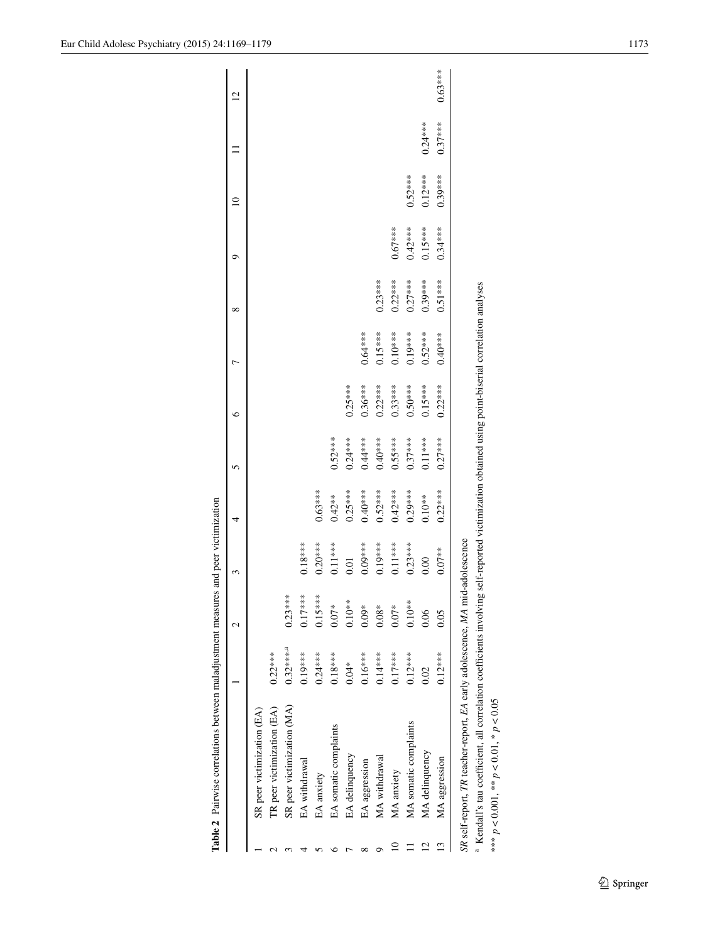|                                                                                                                                                               |           | 2         | ς         |           |           | ७         |           | ∞         | ᢦ         |           |           | ⊴         |
|---------------------------------------------------------------------------------------------------------------------------------------------------------------|-----------|-----------|-----------|-----------|-----------|-----------|-----------|-----------|-----------|-----------|-----------|-----------|
| SR peer victimization (EA)                                                                                                                                    |           |           |           |           |           |           |           |           |           |           |           |           |
| IR peer victimization (EA)                                                                                                                                    | $0.22***$ |           |           |           |           |           |           |           |           |           |           |           |
| SR peer victimization (MA)                                                                                                                                    | $0.32***$ | $0.23***$ |           |           |           |           |           |           |           |           |           |           |
| EA withdrawal                                                                                                                                                 | $0.19***$ | $0.17***$ | $0.18***$ |           |           |           |           |           |           |           |           |           |
| EA anxiety                                                                                                                                                    | $0.24***$ | $0.15***$ | $0.20***$ | $0.63***$ |           |           |           |           |           |           |           |           |
| EA somatic complaints                                                                                                                                         | $0.18***$ | $0.07*$   | $0.11***$ | $0.42***$ | $0.52***$ |           |           |           |           |           |           |           |
| EA delinquency                                                                                                                                                | $0.04*$   | $0.10**$  | 0.01      | $0.25***$ | $0.24***$ | $0.25***$ |           |           |           |           |           |           |
| EA aggression                                                                                                                                                 | $0.16***$ | $0.09*$   | $0.09***$ | $0.40***$ | $0.44***$ | $0.36***$ | $0.64***$ |           |           |           |           |           |
| MA withdrawal                                                                                                                                                 | $0.14***$ | $0.08*$   | $0.19***$ | $0.52***$ | $0.40***$ | $0.22***$ | $0.15***$ | $0.23***$ |           |           |           |           |
| MA anxiety                                                                                                                                                    | $0.17***$ | $0.07*$   | $0.11***$ | $0.42***$ | $0.55***$ | $0.33***$ | $0.10***$ | $0.22***$ | $0.67***$ |           |           |           |
| MA somatic complaints                                                                                                                                         | $0.12***$ | $0.10**$  | $0.23***$ | $0.29***$ | $0.37***$ | $0.50***$ | $0.19***$ | $0.27***$ | $0.42***$ | $0.52***$ |           |           |
| MA delinquency                                                                                                                                                | 0.02      | 0.06      | 0.00      | $0.10**$  | $0.11***$ | $0.15***$ | $0.52***$ | $0.39***$ | $0.15***$ | $0.12***$ | $0.24***$ |           |
| MA aggression                                                                                                                                                 | $0.12***$ | 0.05      | $0.07***$ | $0.22***$ | $0.27***$ | $0.22***$ | $0.40***$ | $0.51***$ | $0.34***$ | $0.39***$ | $0.37***$ | $0.63***$ |
| SR self-report, TR teacher-report, EA early adolescence, MA mid-adolescence                                                                                   |           |           |           |           |           |           |           |           |           |           |           |           |
| <sup>a</sup> Kendall's tau coefficient, all correlation coefficients involving self-reported victimization obtained using point-biserial correlation analyses |           |           |           |           |           |           |           |           |           |           |           |           |
| *** $p < 0.001$ , ** $p < 0.01$ , * $p < 0.05$                                                                                                                |           |           |           |           |           |           |           |           |           |           |           |           |

Eur Child Adolesc Psychiatry (2015) 24:1169-1179 1173

<span id="page-4-0"></span>**Table 2** Pairwise correlations between maladjustment measures and peer victimization

Table 2 Pairwise correlations between maladjustment measures and peer victimization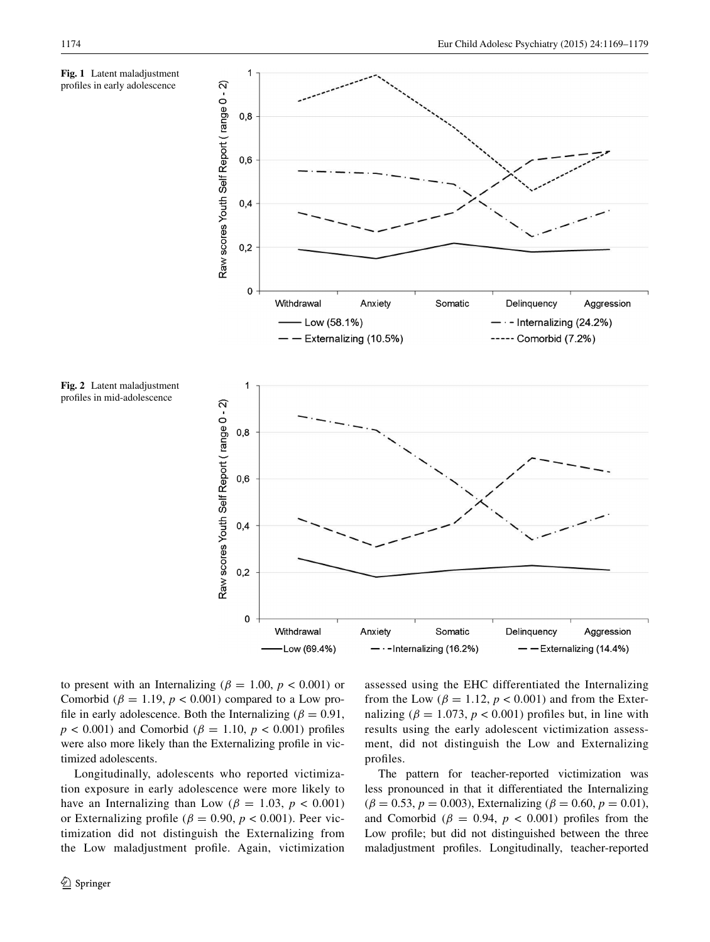<span id="page-5-0"></span>

<span id="page-5-1"></span>to present with an Internalizing ( $\beta = 1.00, p < 0.001$ ) or Comorbid ( $\beta = 1.19$ ,  $p < 0.001$ ) compared to a Low profile in early adolescence. Both the Internalizing ( $\beta = 0.91$ ,  $p < 0.001$ ) and Comorbid ( $\beta = 1.10$ ,  $p < 0.001$ ) profiles were also more likely than the Externalizing profile in victimized adolescents.

Longitudinally, adolescents who reported victimization exposure in early adolescence were more likely to have an Internalizing than Low ( $\beta = 1.03$ ,  $p < 0.001$ ) or Externalizing profile ( $\beta = 0.90$ ,  $p < 0.001$ ). Peer victimization did not distinguish the Externalizing from the Low maladjustment profile. Again, victimization assessed using the EHC differentiated the Internalizing from the Low ( $\beta = 1.12$ ,  $p < 0.001$ ) and from the Externalizing ( $\beta = 1.073$ ,  $p < 0.001$ ) profiles but, in line with results using the early adolescent victimization assessment, did not distinguish the Low and Externalizing profiles.

The pattern for teacher-reported victimization was less pronounced in that it differentiated the Internalizing  $(\beta = 0.53, p = 0.003)$ , Externalizing ( $\beta = 0.60, p = 0.01$ ), and Comorbid ( $\beta = 0.94$ ,  $p < 0.001$ ) profiles from the Low profile; but did not distinguished between the three maladjustment profiles. Longitudinally, teacher-reported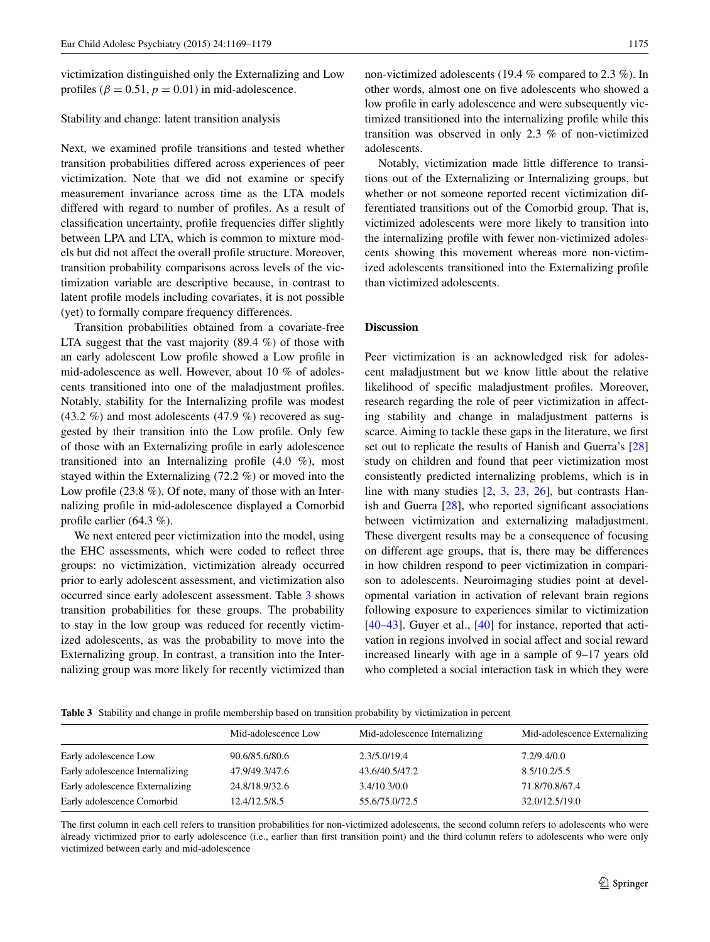victimization distinguished only the Externalizing and Low profiles ( $\beta = 0.51$ ,  $p = 0.01$ ) in mid-adolescence.

Stability and change: latent transition analysis

Next, we examined profile transitions and tested whether transition probabilities differed across experiences of peer victimization. Note that we did not examine or specify measurement invariance across time as the LTA models differed with regard to number of profiles. As a result of classification uncertainty, profile frequencies differ slightly between LPA and LTA, which is common to mixture models but did not affect the overall profile structure. Moreover, transition probability comparisons across levels of the victimization variable are descriptive because, in contrast to latent profile models including covariates, it is not possible (yet) to formally compare frequency differences.

Transition probabilities obtained from a covariate-free LTA suggest that the vast majority (89.4 %) of those with an early adolescent Low profile showed a Low profile in mid-adolescence as well. However, about 10 % of adolescents transitioned into one of the maladjustment profiles. Notably, stability for the Internalizing profile was modest  $(43.2\% )$  and most adolescents  $(47.9\% )$  recovered as suggested by their transition into the Low profile. Only few of those with an Externalizing profile in early adolescence transitioned into an Internalizing profile (4.0 %), most stayed within the Externalizing (72.2 %) or moved into the Low profile (23.8 %). Of note, many of those with an Internalizing profile in mid-adolescence displayed a Comorbid profile earlier (64.3 %).

We next entered peer victimization into the model, using the EHC assessments, which were coded to reflect three groups: no victimization, victimization already occurred prior to early adolescent assessment, and victimization also occurred since early adolescent assessment. Table [3](#page-6-0) shows transition probabilities for these groups. The probability to stay in the low group was reduced for recently victimized adolescents, as was the probability to move into the Externalizing group. In contrast, a transition into the Internalizing group was more likely for recently victimized than non-victimized adolescents (19.4 % compared to 2.3 %). In other words, almost one on five adolescents who showed a low profile in early adolescence and were subsequently victimized transitioned into the internalizing profile while this transition was observed in only 2.3 % of non-victimized adolescents.

Notably, victimization made little difference to transitions out of the Externalizing or Internalizing groups, but whether or not someone reported recent victimization differentiated transitions out of the Comorbid group. That is, victimized adolescents were more likely to transition into the internalizing profile with fewer non-victimized adolescents showing this movement whereas more non-victimized adolescents transitioned into the Externalizing profile than victimized adolescents.

## **Discussion**

Peer victimization is an acknowledged risk for adolescent maladjustment but we know little about the relative likelihood of specific maladjustment profiles. Moreover, research regarding the role of peer victimization in affecting stability and change in maladjustment patterns is scarce. Aiming to tackle these gaps in the literature, we first set out to replicate the results of Hanish and Guerra's [[28\]](#page-9-16) study on children and found that peer victimization most consistently predicted internalizing problems, which is in line with many studies [\[2](#page-8-1), [3,](#page-8-2) [23,](#page-9-28) [26](#page-9-29)], but contrasts Hanish and Guerra [[28\]](#page-9-16), who reported significant associations between victimization and externalizing maladjustment. These divergent results may be a consequence of focusing on different age groups, that is, there may be differences in how children respond to peer victimization in comparison to adolescents. Neuroimaging studies point at developmental variation in activation of relevant brain regions following exposure to experiences similar to victimization [\[40](#page-9-30)[–43](#page-9-31)]. Guyer et al., [40] for instance, reported that activation in regions involved in social affect and social reward increased linearly with age in a sample of 9–17 years old who completed a social interaction task in which they were

<span id="page-6-0"></span>**Table 3** Stability and change in profile membership based on transition probability by victimization in percent

|                                 | Mid-adolescence Low | Mid-adolescence Internalizing | Mid-adolescence Externalizing |
|---------------------------------|---------------------|-------------------------------|-------------------------------|
| Early adolescence Low           | 90.6/85.6/80.6      | 2.3/5.0/19.4                  | 7.2/9.4/0.0                   |
| Early adolescence Internalizing | 47.9/49.3/47.6      | 43.6/40.5/47.2                | 8.5/10.2/5.5                  |
| Early adolescence Externalizing | 24.8/18.9/32.6      | 3.4/10.3/0.0                  | 71.8/70.8/67.4                |
| Early adolescence Comorbid      | 12.4/12.5/8.5       | 55.6/75.0/72.5                | 32.0/12.5/19.0                |

The first column in each cell refers to transition probabilities for non-victimized adolescents, the second column refers to adolescents who were already victimized prior to early adolescence (i.e., earlier than first transition point) and the third column refers to adolescents who were only victimized between early and mid-adolescence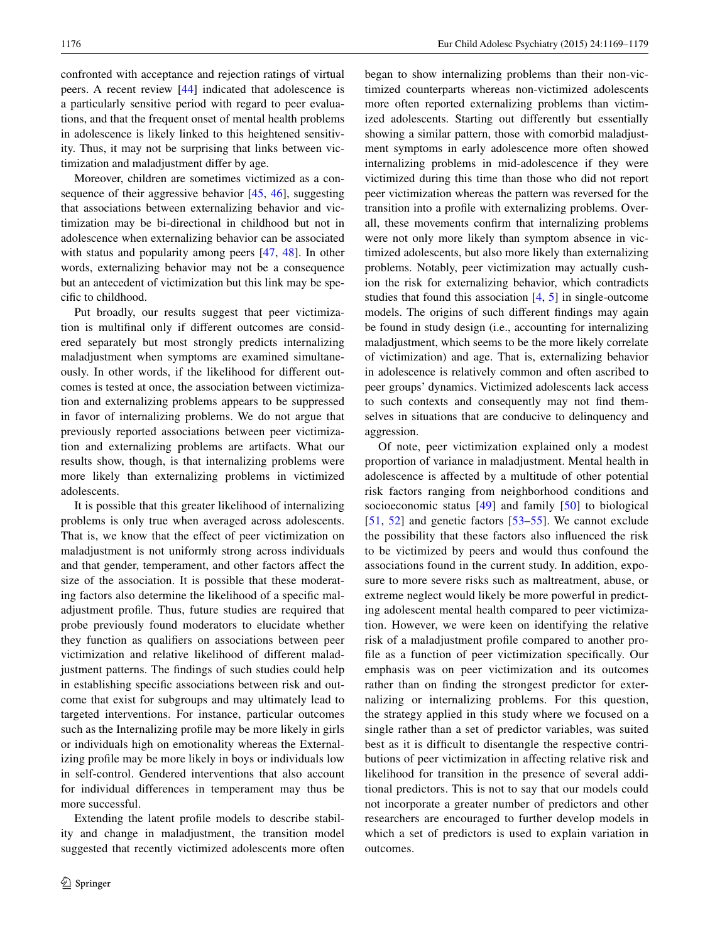confronted with acceptance and rejection ratings of virtual peers. A recent review [\[44](#page-9-32)] indicated that adolescence is a particularly sensitive period with regard to peer evaluations, and that the frequent onset of mental health problems in adolescence is likely linked to this heightened sensitivity. Thus, it may not be surprising that links between victimization and maladjustment differ by age.

Moreover, children are sometimes victimized as a consequence of their aggressive behavior [\[45](#page-9-33), [46](#page-9-34)], suggesting that associations between externalizing behavior and victimization may be bi-directional in childhood but not in adolescence when externalizing behavior can be associated with status and popularity among peers [[47,](#page-9-35) [48](#page-9-36)]. In other words, externalizing behavior may not be a consequence but an antecedent of victimization but this link may be specific to childhood.

Put broadly, our results suggest that peer victimization is multifinal only if different outcomes are considered separately but most strongly predicts internalizing maladjustment when symptoms are examined simultaneously. In other words, if the likelihood for different outcomes is tested at once, the association between victimization and externalizing problems appears to be suppressed in favor of internalizing problems. We do not argue that previously reported associations between peer victimization and externalizing problems are artifacts. What our results show, though, is that internalizing problems were more likely than externalizing problems in victimized adolescents.

It is possible that this greater likelihood of internalizing problems is only true when averaged across adolescents. That is, we know that the effect of peer victimization on maladjustment is not uniformly strong across individuals and that gender, temperament, and other factors affect the size of the association. It is possible that these moderating factors also determine the likelihood of a specific maladjustment profile. Thus, future studies are required that probe previously found moderators to elucidate whether they function as qualifiers on associations between peer victimization and relative likelihood of different maladjustment patterns. The findings of such studies could help in establishing specific associations between risk and outcome that exist for subgroups and may ultimately lead to targeted interventions. For instance, particular outcomes such as the Internalizing profile may be more likely in girls or individuals high on emotionality whereas the Externalizing profile may be more likely in boys or individuals low in self-control. Gendered interventions that also account for individual differences in temperament may thus be more successful.

Extending the latent profile models to describe stability and change in maladjustment, the transition model suggested that recently victimized adolescents more often began to show internalizing problems than their non-victimized counterparts whereas non-victimized adolescents more often reported externalizing problems than victimized adolescents. Starting out differently but essentially showing a similar pattern, those with comorbid maladjustment symptoms in early adolescence more often showed internalizing problems in mid-adolescence if they were victimized during this time than those who did not report peer victimization whereas the pattern was reversed for the transition into a profile with externalizing problems. Overall, these movements confirm that internalizing problems were not only more likely than symptom absence in victimized adolescents, but also more likely than externalizing problems. Notably, peer victimization may actually cushion the risk for externalizing behavior, which contradicts studies that found this association  $[4, 5]$  $[4, 5]$  $[4, 5]$  $[4, 5]$  $[4, 5]$  in single-outcome models. The origins of such different findings may again be found in study design (i.e., accounting for internalizing maladjustment, which seems to be the more likely correlate of victimization) and age. That is, externalizing behavior in adolescence is relatively common and often ascribed to peer groups' dynamics. Victimized adolescents lack access to such contexts and consequently may not find themselves in situations that are conducive to delinquency and aggression.

Of note, peer victimization explained only a modest proportion of variance in maladjustment. Mental health in adolescence is affected by a multitude of other potential risk factors ranging from neighborhood conditions and socioeconomic status [[49\]](#page-10-0) and family [\[50\]](#page-10-1) to biological [[51,](#page-10-2) [52](#page-10-3)] and genetic factors [[53](#page-10-4)[–55](#page-10-5)]. We cannot exclude the possibility that these factors also influenced the risk to be victimized by peers and would thus confound the associations found in the current study. In addition, exposure to more severe risks such as maltreatment, abuse, or extreme neglect would likely be more powerful in predicting adolescent mental health compared to peer victimization. However, we were keen on identifying the relative risk of a maladjustment profile compared to another profile as a function of peer victimization specifically. Our emphasis was on peer victimization and its outcomes rather than on finding the strongest predictor for externalizing or internalizing problems. For this question, the strategy applied in this study where we focused on a single rather than a set of predictor variables, was suited best as it is difficult to disentangle the respective contributions of peer victimization in affecting relative risk and likelihood for transition in the presence of several additional predictors. This is not to say that our models could not incorporate a greater number of predictors and other researchers are encouraged to further develop models in which a set of predictors is used to explain variation in outcomes.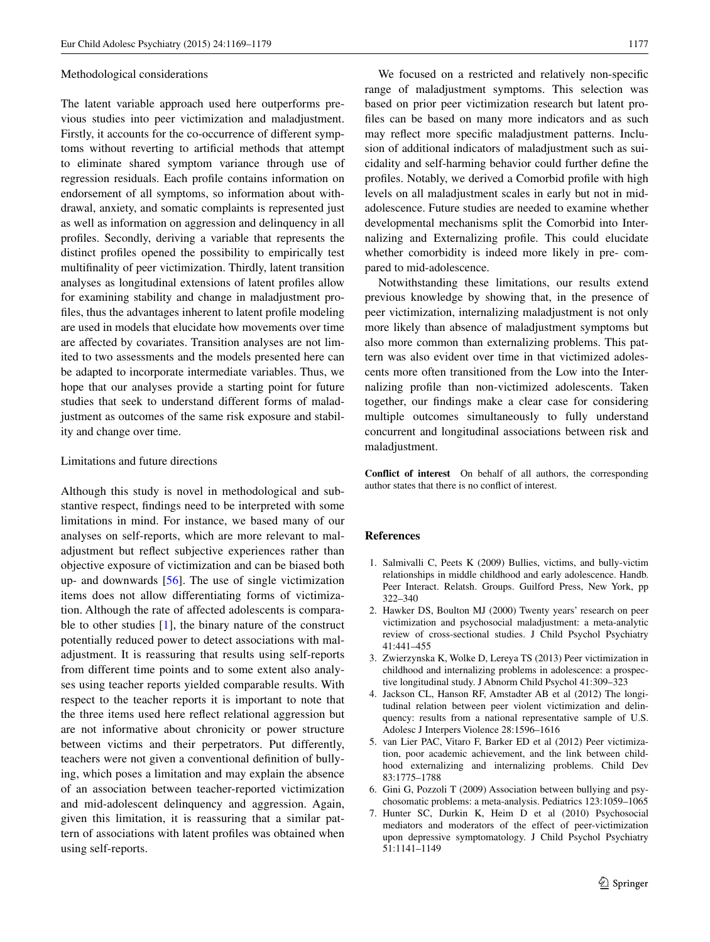#### Methodological considerations

The latent variable approach used here outperforms previous studies into peer victimization and maladjustment. Firstly, it accounts for the co-occurrence of different symptoms without reverting to artificial methods that attempt to eliminate shared symptom variance through use of regression residuals. Each profile contains information on endorsement of all symptoms, so information about withdrawal, anxiety, and somatic complaints is represented just as well as information on aggression and delinquency in all profiles. Secondly, deriving a variable that represents the distinct profiles opened the possibility to empirically test multifinality of peer victimization. Thirdly, latent transition analyses as longitudinal extensions of latent profiles allow for examining stability and change in maladjustment profiles, thus the advantages inherent to latent profile modeling are used in models that elucidate how movements over time are affected by covariates. Transition analyses are not limited to two assessments and the models presented here can be adapted to incorporate intermediate variables. Thus, we hope that our analyses provide a starting point for future studies that seek to understand different forms of maladjustment as outcomes of the same risk exposure and stability and change over time.

#### Limitations and future directions

Although this study is novel in methodological and substantive respect, findings need to be interpreted with some limitations in mind. For instance, we based many of our analyses on self-reports, which are more relevant to maladjustment but reflect subjective experiences rather than objective exposure of victimization and can be biased both up- and downwards [[56\]](#page-10-6). The use of single victimization items does not allow differentiating forms of victimization. Although the rate of affected adolescents is comparable to other studies [[1\]](#page-8-0), the binary nature of the construct potentially reduced power to detect associations with maladjustment. It is reassuring that results using self-reports from different time points and to some extent also analyses using teacher reports yielded comparable results. With respect to the teacher reports it is important to note that the three items used here reflect relational aggression but are not informative about chronicity or power structure between victims and their perpetrators. Put differently, teachers were not given a conventional definition of bullying, which poses a limitation and may explain the absence of an association between teacher-reported victimization and mid-adolescent delinquency and aggression. Again, given this limitation, it is reassuring that a similar pattern of associations with latent profiles was obtained when using self-reports.

We focused on a restricted and relatively non-specific range of maladjustment symptoms. This selection was based on prior peer victimization research but latent profiles can be based on many more indicators and as such may reflect more specific maladjustment patterns. Inclusion of additional indicators of maladjustment such as suicidality and self-harming behavior could further define the profiles. Notably, we derived a Comorbid profile with high levels on all maladjustment scales in early but not in midadolescence. Future studies are needed to examine whether developmental mechanisms split the Comorbid into Internalizing and Externalizing profile. This could elucidate whether comorbidity is indeed more likely in pre- compared to mid-adolescence.

Notwithstanding these limitations, our results extend previous knowledge by showing that, in the presence of peer victimization, internalizing maladjustment is not only more likely than absence of maladjustment symptoms but also more common than externalizing problems. This pattern was also evident over time in that victimized adolescents more often transitioned from the Low into the Internalizing profile than non-victimized adolescents. Taken together, our findings make a clear case for considering multiple outcomes simultaneously to fully understand concurrent and longitudinal associations between risk and maladjustment.

**Conflict of interest** On behalf of all authors, the corresponding author states that there is no conflict of interest.

#### **References**

- <span id="page-8-0"></span>1. Salmivalli C, Peets K (2009) Bullies, victims, and bully-victim relationships in middle childhood and early adolescence. Handb. Peer Interact. Relatsh. Groups. Guilford Press, New York, pp 322–340
- <span id="page-8-1"></span>2. Hawker DS, Boulton MJ (2000) Twenty years' research on peer victimization and psychosocial maladjustment: a meta-analytic review of cross-sectional studies. J Child Psychol Psychiatry 41:441–455
- <span id="page-8-2"></span>3. Zwierzynska K, Wolke D, Lereya TS (2013) Peer victimization in childhood and internalizing problems in adolescence: a prospective longitudinal study. J Abnorm Child Psychol 41:309–323
- <span id="page-8-3"></span>4. Jackson CL, Hanson RF, Amstadter AB et al (2012) The longitudinal relation between peer violent victimization and delinquency: results from a national representative sample of U.S. Adolesc J Interpers Violence 28:1596–1616
- <span id="page-8-4"></span>5. van Lier PAC, Vitaro F, Barker ED et al (2012) Peer victimization, poor academic achievement, and the link between childhood externalizing and internalizing problems. Child Dev 83:1775–1788
- <span id="page-8-5"></span>6. Gini G, Pozzoli T (2009) Association between bullying and psychosomatic problems: a meta-analysis. Pediatrics 123:1059–1065
- <span id="page-8-6"></span>7. Hunter SC, Durkin K, Heim D et al (2010) Psychosocial mediators and moderators of the effect of peer-victimization upon depressive symptomatology. J Child Psychol Psychiatry 51:1141–1149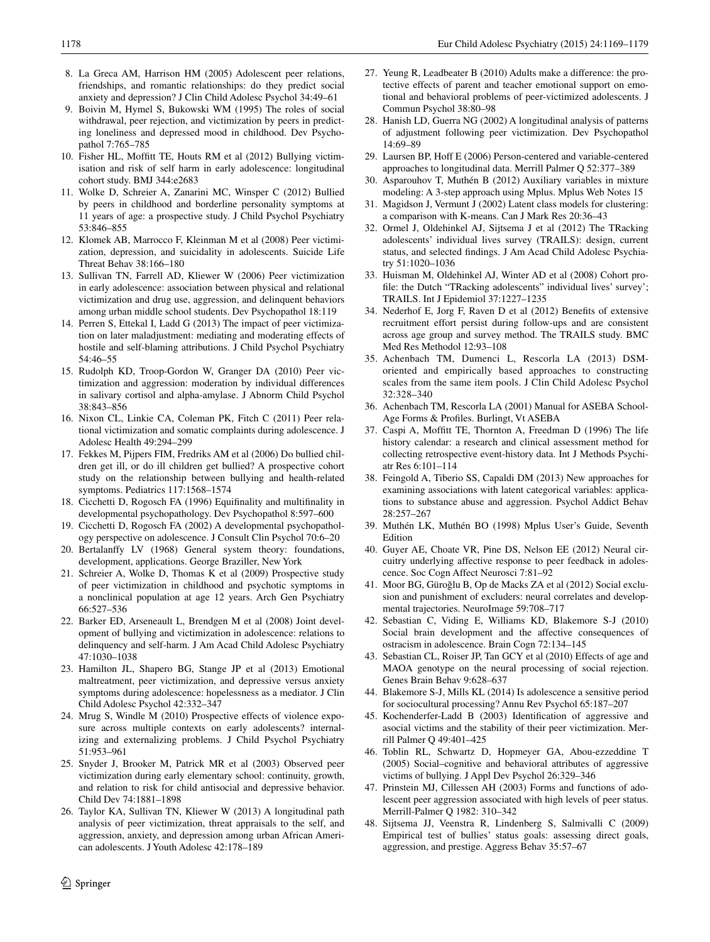- <span id="page-9-0"></span>8. La Greca AM, Harrison HM (2005) Adolescent peer relations, friendships, and romantic relationships: do they predict social anxiety and depression? J Clin Child Adolesc Psychol 34:49–61
- <span id="page-9-1"></span>9. Boivin M, Hymel S, Bukowski WM (1995) The roles of social withdrawal, peer rejection, and victimization by peers in predicting loneliness and depressed mood in childhood. Dev Psychopathol 7:765–785
- <span id="page-9-2"></span>10. Fisher HL, Moffitt TE, Houts RM et al (2012) Bullying victimisation and risk of self harm in early adolescence: longitudinal cohort study. BMJ 344:e2683
- <span id="page-9-3"></span>11. Wolke D, Schreier A, Zanarini MC, Winsper C (2012) Bullied by peers in childhood and borderline personality symptoms at 11 years of age: a prospective study. J Child Psychol Psychiatry 53:846–855
- <span id="page-9-4"></span>12. Klomek AB, Marrocco F, Kleinman M et al (2008) Peer victimization, depression, and suicidality in adolescents. Suicide Life Threat Behav 38:166–180
- <span id="page-9-5"></span>13. Sullivan TN, Farrell AD, Kliewer W (2006) Peer victimization in early adolescence: association between physical and relational victimization and drug use, aggression, and delinquent behaviors among urban middle school students. Dev Psychopathol 18:119
- <span id="page-9-6"></span>14. Perren S, Ettekal I, Ladd G (2013) The impact of peer victimization on later maladjustment: mediating and moderating effects of hostile and self-blaming attributions. J Child Psychol Psychiatry 54:46–55
- <span id="page-9-7"></span>15. Rudolph KD, Troop-Gordon W, Granger DA (2010) Peer victimization and aggression: moderation by individual differences in salivary cortisol and alpha-amylase. J Abnorm Child Psychol 38:843–856
- <span id="page-9-8"></span>16. Nixon CL, Linkie CA, Coleman PK, Fitch C (2011) Peer relational victimization and somatic complaints during adolescence. J Adolesc Health 49:294–299
- <span id="page-9-9"></span>17. Fekkes M, Pijpers FIM, Fredriks AM et al (2006) Do bullied children get ill, or do ill children get bullied? A prospective cohort study on the relationship between bullying and health-related symptoms. Pediatrics 117:1568–1574
- <span id="page-9-10"></span>18. Cicchetti D, Rogosch FA (1996) Equifinality and multifinality in developmental psychopathology. Dev Psychopathol 8:597–600
- <span id="page-9-11"></span>19. Cicchetti D, Rogosch FA (2002) A developmental psychopathology perspective on adolescence. J Consult Clin Psychol 70:6–20
- <span id="page-9-12"></span>20. Bertalanffy LV (1968) General system theory: foundations, development, applications. George Braziller, New York
- <span id="page-9-13"></span>21. Schreier A, Wolke D, Thomas K et al (2009) Prospective study of peer victimization in childhood and psychotic symptoms in a nonclinical population at age 12 years. Arch Gen Psychiatry 66:527–536
- <span id="page-9-14"></span>22. Barker ED, Arseneault L, Brendgen M et al (2008) Joint development of bullying and victimization in adolescence: relations to delinquency and self-harm. J Am Acad Child Adolesc Psychiatry 47:1030–1038
- <span id="page-9-28"></span>23. Hamilton JL, Shapero BG, Stange JP et al (2013) Emotional maltreatment, peer victimization, and depressive versus anxiety symptoms during adolescence: hopelessness as a mediator. J Clin Child Adolesc Psychol 42:332–347
- 24. Mrug S, Windle M (2010) Prospective effects of violence exposure across multiple contexts on early adolescents? internalizing and externalizing problems. J Child Psychol Psychiatry 51:953–961
- 25. Snyder J, Brooker M, Patrick MR et al (2003) Observed peer victimization during early elementary school: continuity, growth, and relation to risk for child antisocial and depressive behavior. Child Dev 74:1881–1898
- <span id="page-9-29"></span>26. Taylor KA, Sullivan TN, Kliewer W (2013) A longitudinal path analysis of peer victimization, threat appraisals to the self, and aggression, anxiety, and depression among urban African American adolescents. J Youth Adolesc 42:178–189
- <span id="page-9-15"></span>27. Yeung R, Leadbeater B (2010) Adults make a difference: the protective effects of parent and teacher emotional support on emotional and behavioral problems of peer-victimized adolescents. J Commun Psychol 38:80–98
- <span id="page-9-16"></span>28. Hanish LD, Guerra NG (2002) A longitudinal analysis of patterns of adjustment following peer victimization. Dev Psychopathol 14:69–89
- <span id="page-9-17"></span>29. Laursen BP, Hoff E (2006) Person-centered and variable-centered approaches to longitudinal data. Merrill Palmer Q 52:377–389
- <span id="page-9-18"></span>30. Asparouhov T, Muthén B (2012) Auxiliary variables in mixture modeling: A 3-step approach using Mplus. Mplus Web Notes 15
- <span id="page-9-19"></span>31. Magidson J, Vermunt J (2002) Latent class models for clustering: a comparison with K-means. Can J Mark Res 20:36–43
- <span id="page-9-20"></span>32. Ormel J, Oldehinkel AJ, Sijtsema J et al (2012) The TRacking adolescents' individual lives survey (TRAILS): design, current status, and selected findings. J Am Acad Child Adolesc Psychiatry 51:1020–1036
- <span id="page-9-21"></span>33. Huisman M, Oldehinkel AJ, Winter AD et al (2008) Cohort profile: the Dutch "TRacking adolescents" individual lives' survey'; TRAILS. Int J Epidemiol 37:1227–1235
- <span id="page-9-22"></span>34. Nederhof E, Jorg F, Raven D et al (2012) Benefits of extensive recruitment effort persist during follow-ups and are consistent across age group and survey method. The TRAILS study. BMC Med Res Methodol 12:93–108
- <span id="page-9-23"></span>35. Achenbach TM, Dumenci L, Rescorla LA (2013) DSMoriented and empirically based approaches to constructing scales from the same item pools. J Clin Child Adolesc Psychol 32:328–340
- <span id="page-9-24"></span>36. Achenbach TM, Rescorla LA (2001) Manual for ASEBA School-Age Forms & Profiles. Burlingt, Vt ASEBA
- <span id="page-9-25"></span>37. Caspi A, Moffitt TE, Thornton A, Freedman D (1996) The life history calendar: a research and clinical assessment method for collecting retrospective event-history data. Int J Methods Psychiatr Res 6:101–114
- <span id="page-9-26"></span>38. Feingold A, Tiberio SS, Capaldi DM (2013) New approaches for examining associations with latent categorical variables: applications to substance abuse and aggression. Psychol Addict Behav 28:257–267
- <span id="page-9-27"></span>39. Muthén LK, Muthén BO (1998) Mplus User's Guide, Seventh Edition
- <span id="page-9-30"></span>40. Guyer AE, Choate VR, Pine DS, Nelson EE (2012) Neural circuitry underlying affective response to peer feedback in adolescence. Soc Cogn Affect Neurosci 7:81–92
- 41. Moor BG, Güroğlu B, Op de Macks ZA et al (2012) Social exclusion and punishment of excluders: neural correlates and developmental trajectories. NeuroImage 59:708–717
- 42. Sebastian C, Viding E, Williams KD, Blakemore S-J (2010) Social brain development and the affective consequences of ostracism in adolescence. Brain Cogn 72:134–145
- <span id="page-9-31"></span>43. Sebastian CL, Roiser JP, Tan GCY et al (2010) Effects of age and MAOA genotype on the neural processing of social rejection. Genes Brain Behav 9:628–637
- <span id="page-9-32"></span>44. Blakemore S-J, Mills KL (2014) Is adolescence a sensitive period for sociocultural processing? Annu Rev Psychol 65:187–207
- <span id="page-9-33"></span>45. Kochenderfer-Ladd B (2003) Identification of aggressive and asocial victims and the stability of their peer victimization. Merrill Palmer Q 49:401–425
- <span id="page-9-34"></span>46. Toblin RL, Schwartz D, Hopmeyer GA, Abou-ezzeddine T (2005) Social–cognitive and behavioral attributes of aggressive victims of bullying. J Appl Dev Psychol 26:329–346
- <span id="page-9-35"></span>47. Prinstein MJ, Cillessen AH (2003) Forms and functions of adolescent peer aggression associated with high levels of peer status. Merrill-Palmer Q 1982: 310–342
- <span id="page-9-36"></span>48. Sijtsema JJ, Veenstra R, Lindenberg S, Salmivalli C (2009) Empirical test of bullies' status goals: assessing direct goals, aggression, and prestige. Aggress Behav 35:57–67